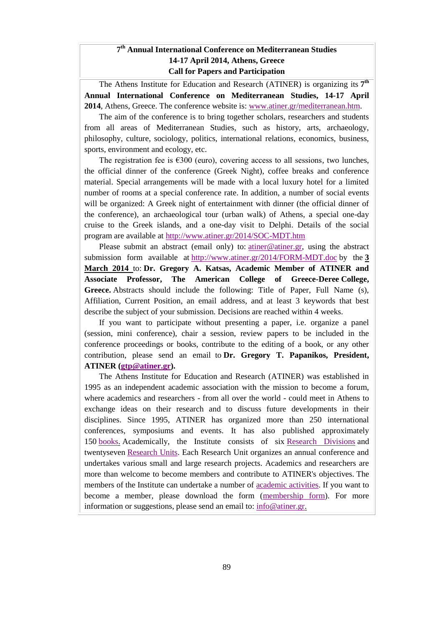#### **7 th Annual International Conference on Mediterranean Studies 14-17 April 2014, Athens, Greece Call for Papers and Participation**

The Athens Institute for Education and Research (ATINER) is organizing its **7 th Annual International Conference on Mediterranean Studies, 14-17 April 2014**, Athens, Greece. The conference website is: [www.atiner.gr/mediterranean.htm.](http://www.atiner.gr/mediterranean.htm)

The aim of the conference is to bring together scholars, researchers and students from all areas of Mediterranean Studies, such as history, arts, archaeology, philosophy, culture, sociology, politics, international relations, economics, business, sports, environment and ecology, etc.

The registration fee is  $\epsilon$ 300 (euro), covering access to all sessions, two lunches, the official dinner of the conference (Greek Night), coffee breaks and conference material. Special arrangements will be made with a local luxury hotel for a limited number of rooms at a special conference rate. In addition, a number of social events will be organized: A Greek night of entertainment with dinner (the official dinner of the conference), an archaeological tour (urban walk) of Athens, a special one-day cruise to the Greek islands, and a one-day visit to Delphi. Details of the social program are available at <http://www.atiner.gr/2014/SOC-MDT.htm>

Please submit an abstract (email only) to: [atiner@atiner.gr,](mailto:atiner@atiner.gr) using the abstract submission form available at <http://www.atiner.gr/2014/FORM-MDT.doc> by the **3 March 2014** to: **Dr. Gregory A. Katsas, Academic Member of ATINER and Associate Professor, The American College of Greece-Deree College, Greece.** Abstracts should include the following: Title of Paper, Full Name (s), Affiliation, Current Position, an email address, and at least 3 keywords that best describe the subject of your submission. Decisions are reached within 4 weeks.

If you want to participate without presenting a paper, i.e. organize a panel (session, mini conference), chair a session, review papers to be included in the conference proceedings or books, contribute to the editing of a book, or any other contribution, please send an email to **Dr. Gregory T. Papanikos, President, ATINER [\(gtp@atiner.gr\)](mailto:gtp@atiner.gr).**

The Athens Institute for Education and Research (ATINER) was established in 1995 as an independent academic association with the mission to become a forum, where academics and researchers - from all over the world - could meet in Athens to exchange ideas on their research and to discuss future developments in their disciplines. Since 1995, ATINER has organized more than 250 international conferences, symposiums and events. It has also published approximately 150 [books.](http://www.atiner.gr/docs/BOOK_PUBLICATIONS.htm) Academically, the Institute consists of six [Research Divisions](http://www.atiner.gr/RESEARCH-DIVISIONS.htm) and twentyseven [Research Units.](http://www.atiner.gr/RESEARCH-DIVISIONS.htm) Each Research Unit organizes an annual conference and undertakes various small and large research projects. Academics and researchers are more than welcome to become members and contribute to ATINER's objectives. The members of the Institute can undertake a number of [academic activities.](http://www.atiner.gr/docs/Member-Activities.htm) If you want to become a member, please download the form [\(membership form\)](http://www.atiner.gr/docs/MEMBER_FORM.doc). For more information or suggestions, please send an email to: [info@atiner.gr.](mailto:info@atiner.gr)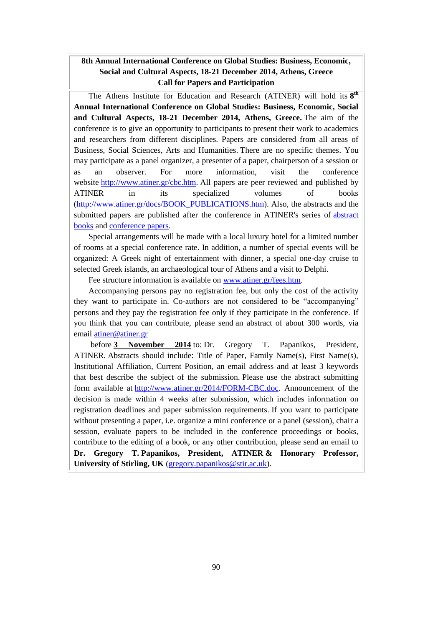#### **8th Annual International Conference on Global Studies: Business, Economic, Social and Cultural Aspects, 18-21 December 2014, Athens, Greece Call for Papers and Participation**

The Athens Institute for Education and Research (ATINER) will hold its **8 th Annual International Conference on Global Studies: Business, Economic, Social and Cultural Aspects, 18-21 December 2014, Athens, Greece.** The aim of the conference is to give an opportunity to participants to present their work to academics and researchers from different disciplines. Papers are considered from all areas of Business, Social Sciences, Arts and Humanities. There are no specific themes. You may participate as a panel organizer, a presenter of a paper, chairperson of a session or as an observer. For more information, visit the conference website [http://www.atiner.gr/cbc.htm.](http://www.atiner.gr/cbc.htm) All papers are peer reviewed and published by ATINER in its specialized volumes of books [\(http://www.atiner.gr/docs/BOOK\\_PUBLICATIONS.htm\)](http://www.atiner.gr/docs/BOOK_PUBLICATIONS.htm). Also, the abstracts and the submitted papers are published after the conference in ATINER's series of [abstract](http://www.atiner.gr/docs/ABSTRACT-PUBLICATIONS.htm)  [books](http://www.atiner.gr/docs/ABSTRACT-PUBLICATIONS.htm) and [conference papers.](http://www.atiner.gr/papers.htm)

Special arrangements will be made with a local luxury hotel for a limited number of rooms at a special conference rate. In addition, a number of special events will be organized: A Greek night of entertainment with dinner, a special one-day cruise to selected Greek islands, an archaeological tour of Athens and a visit to Delphi.

Fee structure information is available on [www.atiner.gr/fees.htm.](http://www.atiner.gr/fees.htm)

Accompanying persons pay no registration fee, but only the cost of the activity they want to participate in. Co-authors are not considered to be "accompanying" persons and they pay the registration fee only if they participate in the conference. If you think that you can contribute, please send an abstract of about 300 words, via email [atiner@atiner.gr](mailto:atiner@atiner.gr)

before **3 November 2014** to: Dr. Gregory T. Papanikos, President, ATINER. Abstracts should include: Title of Paper, Family Name(s), First Name(s), Institutional Affiliation, Current Position, an email address and at least 3 keywords that best describe the subject of the submission. Please use the abstract submitting form available at [http://www.atiner.gr/2014/FORM-CBC.doc.](http://www.atiner.gr/2014/FORM-CBC.doc) Announcement of the decision is made within 4 weeks after submission, which includes information on registration deadlines and paper submission requirements. If you want to participate without presenting a paper, i.e. organize a mini conference or a panel (session), chair a session, evaluate papers to be included in the conference proceedings or books, contribute to the editing of a book, or any other contribution, please send an email to **Dr. Gregory T. Papanikos, President, ATINER & Honorary Professor, University of Stirling, UK** [\(gregory.papanikos@stir.ac.uk\)](mailto:gregory.papanikos@stir.ac.uk).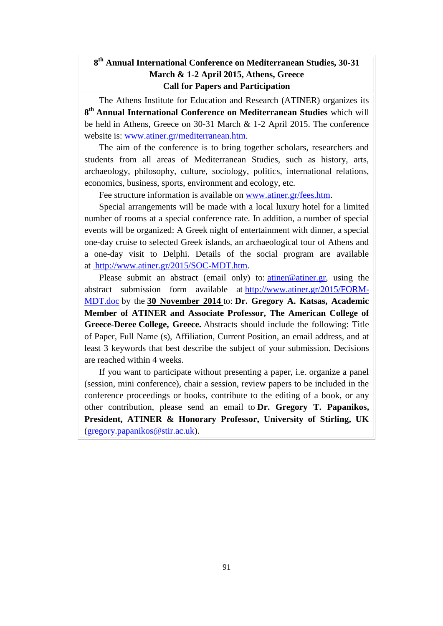### **8 th Annual International Conference on Mediterranean Studies, 30-31 March & 1-2 April 2015, Athens, Greece Call for Papers and Participation**

The Athens Institute for Education and Research (ATINER) organizes its **8 th Annual International Conference on Mediterranean Studies** which will be held in Athens, Greece on 30-31 March & 1-2 April 2015. The conference website is: [www.atiner.gr/mediterranean.htm.](http://www.atiner.gr/mediterranean.htm)

The aim of the conference is to bring together scholars, researchers and students from all areas of Mediterranean Studies, such as history, arts, archaeology, philosophy, culture, sociology, politics, international relations, economics, business, sports, environment and ecology, etc.

Fee structure information is available on [www.atiner.gr/fees.htm.](http://www.atiner.gr/fees.htm)

Special arrangements will be made with a local luxury hotel for a limited number of rooms at a special conference rate. In addition, a number of special events will be organized: A Greek night of entertainment with dinner, a special one-day cruise to selected Greek islands, an archaeological tour of Athens and a one-day visit to Delphi. Details of the social program are available at [http://www.atiner.gr/2015/SOC-MDT.htm.](http://www.atiner.gr/2015/SOC-MDT.htm)

Please submit an abstract (email only) to:  $atiner@atiner.gr$ , using the abstract submission form available at [http://www.atiner.gr/2015/FORM-](http://www.atiner.gr/2015/FORM-MDT.doc)[MDT.doc](http://www.atiner.gr/2015/FORM-MDT.doc) by the **30 November 2014** to: **Dr. Gregory A. Katsas, Academic Member of ATINER and Associate Professor, The American College of Greece-Deree College, Greece.** Abstracts should include the following: Title of Paper, Full Name (s), Affiliation, Current Position, an email address, and at least 3 keywords that best describe the subject of your submission. Decisions are reached within 4 weeks.

If you want to participate without presenting a paper, i.e. organize a panel (session, mini conference), chair a session, review papers to be included in the conference proceedings or books, contribute to the editing of a book, or any other contribution, please send an email to **Dr. Gregory T. Papanikos, President, ATINER & Honorary Professor, University of Stirling, UK** [\(gregory.papanikos@stir.ac.uk\)](mailto:gregory.papanikos@stir.ac.uk).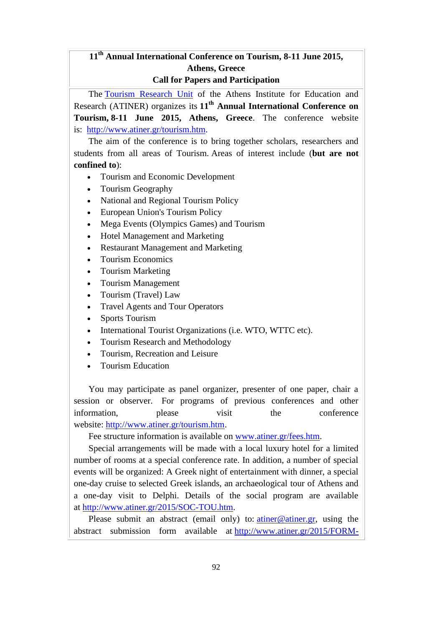## **11 th Annual International Conference on Tourism, 8-11 June 2015, Athens, Greece Call for Papers and Participation**

The [Tourism Research Unit](http://www.atiner.gr/TOURISM-UNIT.htm) of the Athens Institute for Education and Research (ATINER) organizes its **11th Annual International Conference on Tourism, 8-11 June 2015, Athens, Greece**. The conference website is: [http://www.atiner.gr/tourism.htm.](http://www.atiner.gr/tourism.htm)

The aim of the conference is to bring together scholars, researchers and students from all areas of Tourism. Areas of interest include (**but are not confined to**):

- Tourism and Economic Development
- Tourism Geography
- National and Regional Tourism Policy
- European Union's Tourism Policy
- Mega Events (Olympics Games) and Tourism
- Hotel Management and Marketing
- Restaurant Management and Marketing
- Tourism Economics
- Tourism Marketing
- Tourism Management
- Tourism (Travel) Law
- Travel Agents and Tour Operators
- Sports Tourism
- International Tourist Organizations (i.e. WTO, WTTC etc).
- Tourism Research and Methodology
- Tourism, Recreation and Leisure
- Tourism Education

You may participate as panel organizer, presenter of one paper, chair a session or observer. For programs of previous conferences and other information. **please** visit the conference website: [http://www.atiner.gr/tourism.htm.](http://www.atiner.gr/tourism.htm)

Fee structure information is available on [www.atiner.gr/fees.htm.](http://www.atiner.gr/fees.htm)

Special arrangements will be made with a local luxury hotel for a limited number of rooms at a special conference rate. In addition, a number of special events will be organized: A Greek night of entertainment with dinner, a special one-day cruise to selected Greek islands, an archaeological tour of Athens and a one-day visit to Delphi. Details of the social program are available at [http://www.atiner.gr/2015/SOC-TOU.htm.](http://www.atiner.gr/2015/SOC-TOU.htm)

Please submit an abstract (email only) to:  $atiner@atiner.gr$ , using the abstract submission form available at [http://www.atiner.gr/2015/FORM-](http://www.atiner.gr/2015/FORM-TOU.doc)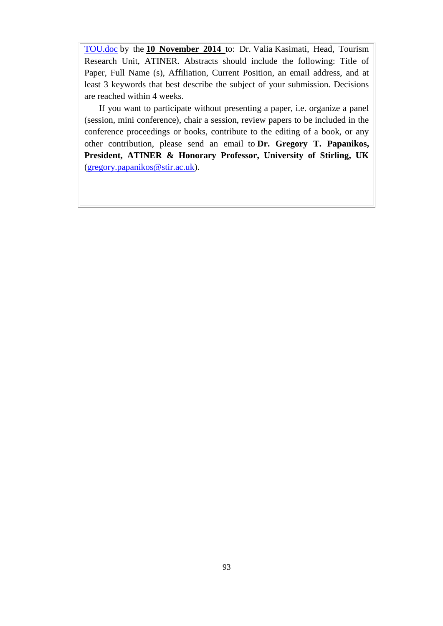TOU.doc by the **10 November 2014** to: Dr. Valia Kasimati, Head, Tourism Research Unit, ATINER. Abstracts should include the following: Title of Paper, Full Name (s), Affiliation, Current Position, an email address, and at least 3 keywords that best describe the subject of your submission. Decisions are reached within 4 weeks.

If you want to participate without presenting a paper, i.e. organize a panel (session, mini conference), chair a session, review papers to be included in the conference proceedings or books, contribute to the editing of a book, or any other contribution, please send an email to **Dr. Gregory T. Papanikos, President, ATINER & Honorary Professor, University of Stirling, UK** [\(gregory.papanikos@stir.ac.uk\)](mailto:gregory.papanikos@stir.ac.uk).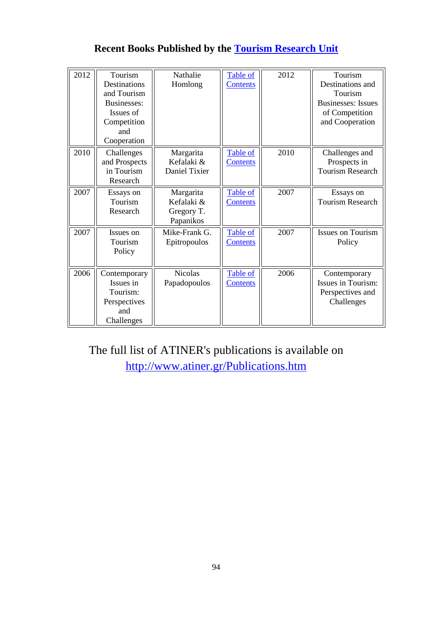| 2012 | Tourism<br>Destinations<br>and Tourism<br>Businesses:<br>Issues of<br>Competition<br>and<br>Cooperation | Nathalie<br>Homlong                                | Table of<br><b>Contents</b> | 2012 | Tourism<br>Destinations and<br>Tourism<br><b>Businesses:</b> Issues<br>of Competition<br>and Cooperation |
|------|---------------------------------------------------------------------------------------------------------|----------------------------------------------------|-----------------------------|------|----------------------------------------------------------------------------------------------------------|
| 2010 | Challenges<br>and Prospects<br>in Tourism<br>Research                                                   | Margarita<br>Kefalaki &<br>Daniel Tixier           | Table of<br><b>Contents</b> | 2010 | Challenges and<br>Prospects in<br><b>Tourism Research</b>                                                |
| 2007 | Essays on<br>Tourism<br>Research                                                                        | Margarita<br>Kefalaki &<br>Gregory T.<br>Papanikos | Table of<br><b>Contents</b> | 2007 | Essays on<br><b>Tourism Research</b>                                                                     |
| 2007 | Issues on<br>Tourism<br>Policy                                                                          | Mike-Frank G.<br>Epitropoulos                      | Table of<br><b>Contents</b> | 2007 | <b>Issues on Tourism</b><br>Policy                                                                       |
| 2006 | Contemporary<br>Issues in<br>Tourism:<br>Perspectives<br>and<br>Challenges                              | <b>Nicolas</b><br>Papadopoulos                     | Table of<br><b>Contents</b> | 2006 | Contemporary<br>Issues in Tourism:<br>Perspectives and<br>Challenges                                     |

## **Recent Books Published by the [Tourism Research Unit](http://www.atiner.gr/TOURISM-UNIT.htm)**

The full list of ATINER's publications is available on <http://www.atiner.gr/Publications.htm>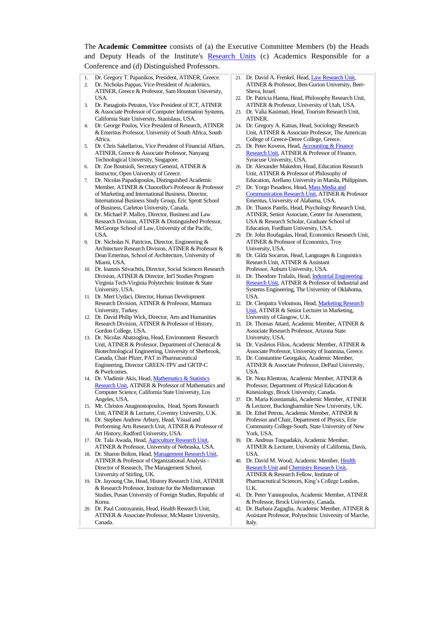The **Academic Committee** consists of (a) the Executive Committee Members (b) the Heads and Deputy Heads of the Institute's [Research Units](http://www.atiner.gr/RESEARCH-DIVISIONS.htm) (c) Academics Responsible for a Conference and (d) Distinguished Professors.

- 1. Dr. Gregory T. Papanikos, President, ATINER, Greece.
- 2. Dr. Nicholas Pappas, Vice-President of Academics, ATINER, Greece & Professor, Sam Houston University, USA.
- 3. Dr. Panagiotis Petratos, Vice President of ICT, ATINER & Associate Professor of Computer Information Systems, California State University, Stanislaus, USA.
- 4. Dr. George Poulos, Vice President of Research, ATINER & Emeritus Professor, University of South Africa, South Africa.
- 5. Dr. Chris Sakellariou, Vice President of Financial Affairs, ATINER, Greece & Associate Professor, Nanyang Technological University, Singapore.
- 6. Dr. Zoe Boutsioli, Secretary General, ATINER & Instructor, Open University of Greece.

7. Dr. Nicolas Papadopoulos, Distinguished Academic Member, ATINER & Chancellor's Professor & Professor of Marketing and International Business, Director, International Business Study Group, Eric Sprott School of Business, Carleton University, Canada.

- 8. Dr. Michael P. Malloy, Director, Business and Law Research Division, ATINER & Distinguished Professor, McGeorge School of Law, University of the Pacific, **I**ISA.
- 9. Dr. Nicholas N. Patricios, Director, Engineering & Architecture Research Division, ATINER & Professor & Dean Emeritus, School of Architecture, University of Miami, USA.
- 10. Dr. Ioannis Stivachtis, Director, Social Sciences Research Division, ATINER & Director, Int'l Studies Program Virginia Tech-Virginia Polytechnic Institute & State University, USA.
- 11. Dr. Mert Uydaci, Director, Human Development Research Division, ATINER & Professor, Marmara University, Turkey.
- 12. Dr. David Philip Wick, Director, Arts and Humanities Research Division, ATINER & Professor of History, Gordon College, USA.
- 13. Dr. Nicolas Abatzoglou, Head, Environment Research Unit, ATINER & Professor, Department of Chemical & Biotechnological Engineering, University of Sherbrook, Canada, Chair Pfizer, PAT in Pharmaceutical Engineering, Director GREEN-TPV and GRTP-C & Pwelcomes.
- 14. Dr. Vladimir Akis, Head, Mathematics & Statistics [Research Unit,](http://www.atiner.gr/docs/MATHEMATICS_UNIT.htm) ATINER & Professor of Mathematics and Computer Science, California State University, Los Angeles, USA.
- 15. Mr. Christos Anagnostopoulos, Head, Sports Research Unit, ATINER & Lecturer, Coventry University, U.K.
- 16. Dr. Stephen Andrew Arbury, Head, Visual and Performing Arts Research Unit, ATINER & Professor of Art History, Radford University, USA.
- 17. Dr. Tala Awada, Head[, Agriculture Research Unit,](http://www.atiner.gr/AGRICULTURE_UNIT.htm)  ATINER & Professor, University of Nebraska, USA.
- 18. Dr. Sharon Bolton, Head, Management Research Unit ATINER & Professor of Organizational Analysis - Director of Research, The Management School, University of Stirling, UK.
- 19. Dr. Jayoung Che, Head, History Research Unit, ATINER & Research Professor, Institute for the Mediterranean Studies, Pusan University of Foreign Studies, Republic of Korea.
- 20. Dr. Paul Contoyannis, Head, Health Research Unit, ATINER & Associate Professor, McMaster University, Canada.
- 21. Dr. David A. Frenkel, Head[, Law Research Unit,](http://www.atiner.gr/docs/LAW_UNIT.htm)  ATINER & Professor, Ben-Gurion University, Beer-Sheva, Israel.
- 22. Dr. Patricia Hanna, Head, Philosophy Research Unit, ATINER & Professor, University of Utah, USA.
- 23. Dr. Valia Kasimati, Head, Tourism Research Unit, ATINER.
- 24. Dr. Gregory A. Katsas, Head, Sociology Research Unit, ATINER & Associate Professor, The American College of Greece-Deree College, Greece.
- 25. Dr. Peter Koveos, Head[, Accounting & Finance](http://www.atiner.gr/docs/ACCOUNTING_UNIT.htm)  [Research Unit,](http://www.atiner.gr/docs/ACCOUNTING_UNIT.htm) ATINER & Professor of Finance, Syracuse University, USA.
- 26. Dr. Alexander Makedon, Head, Education Research Unit, ATINER & Professor of Philosophy of Education, Arellano University in Manila, Philippines.
- 27. Dr. Yorgo Pasadeos, Head[, Mass Media and](http://www.atiner.gr/docs/MEDIA_UNIT.htm)  [Communication Research Unit,](http://www.atiner.gr/docs/MEDIA_UNIT.htm) ATINER & Professor Emeritus, University of Alabama, USA.
- 28. Dr. Thanos Patelis, Head, Psychology Research Unit, ATINER, Senior Associate, Center for Assessment, USA & Research Scholar, Graduate School of Education, Fordham University, USA.
- 29. Dr. John Roufagalas, Head, Economics Research Unit, ATINER & Professor of Economics, Troy University, USA.
- 30. Dr. Gilda Socarras, Head, Languages & Linguistics Research Unit, ATINER & Assistant Professor, Auburn University, USA.
- 31. Dr. Theodore Trafalis, Head[, Industrial Engineering](http://www.atiner.gr/INDUSTRIAL-UNIT.htm)  [Research Unit,](http://www.atiner.gr/INDUSTRIAL-UNIT.htm) ATINER & Professor of Industrial and Systems Engineering, The University of Oklahoma, USA.
- 32. Dr. Cleopatra Veloutsou, Head[, Marketing Research](http://www.atiner.gr/docs/MARKETING_UNIT.htm)  [Unit,](http://www.atiner.gr/docs/MARKETING_UNIT.htm) ATINER & Senior Lecturer in Marketing, University of Glasgow, U.K.
- 33. Dr. Thomas Attard, Academic Member, ATINER & Associate Research Professor, Arizona State University, USA.
- 34. Dr. Vasileios Filios, Academic Member, ATINER & Associate Professor, University of Ioannina, Greece.
- 35. Dr. Constantine Georgakis, Academic Member, ATINER & Associate Professor, DePaul University, USA.
- 36. Dr. Nota Klentrou, Academic Member, ATINER & Professor, Department of Physical Education & Kinesiology, Brock University, Canada.
- 37. Dr. Maria Konstantaki, Academic Member, ATINER & Lecturer, Buckinghamshire New University, UK.
- 38. Dr. Ethel Petrou, Academic Member, ATINER & Professor and Chair, Department of Physics, Erie Community College-South, State University of New York, USA.
- 39. Dr. Andreas Toupadakis, Academic Member, ATINER & Lecturer, University of California, Davis, **I**ISA.
- 40. Dr. David M. Wood, Academic Member, [Health](http://www.atiner.gr/docs/HEALTH_UNIT.htm)  [Research Unit](http://www.atiner.gr/docs/HEALTH_UNIT.htm) and [Chemistry Research Unit,](http://www.atiner.gr/CHEMISTRY-UNIT.htm)  ATINER & Research Fellow, Institute of Pharmaceutical Sciences, King's College London, U.K.
- 41. Dr. Peter Yannopoulos, Academic Member, ATINER & Professor, Brock University, Canada.
- 42. Dr. Barbara Zagaglia, Academic Member, ATINER & Assistant Professor, Polytechnic University of Marche, Italy.